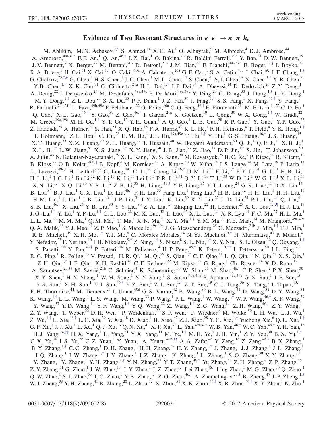## Evidence of Two Resonant Structures in  $e^+e^- \rightarrow \pi^+\pi^-h_c$

<span id="page-0-9"></span><span id="page-0-8"></span><span id="page-0-7"></span><span id="page-0-6"></span><span id="page-0-5"></span><span id="page-0-4"></span><span id="page-0-3"></span><span id="page-0-2"></span><span id="page-0-1"></span><span id="page-0-0"></span>M. Ablikim,<sup>1</sup> M. N. Achasov,<sup>9[,\\*](#page-6-0)</sup> S. Ahmed,<sup>14</sup> X. C. Ai,<sup>1</sup> O. Albayrak,<sup>5</sup> M. Albrecht,<sup>4</sup> D. J. Ambrose,<sup>44</sup> A. Amoroso,<sup>49a,49c</sup> F. F. An,<sup>1</sup> Q. An,<sup>46,[†](#page-6-1)</sup> J. Z. Bai,<sup>1</sup> O. Bakina,<sup>23</sup> R. Baldini Ferroli,<sup>20a</sup> Y. Ban,<sup>31</sup> D. W. Bennett,<sup>19</sup> J. V. Bennett, <sup>5</sup> N. Berger, <sup>22</sup> M. Bertani, <sup>20a</sup> D. Bettoni, <sup>21a</sup> J. M. Bian, <sup>43</sup> F. Bianchi, <sup>49a, 49c</sup> E. Boger, <sup>23,[‡](#page-6-2)</sup> I. Boyko, <sup>23</sup> R. A. Briere,<sup>5</sup> H. Cai,<sup>51</sup> X. Cai,<sup>1,[†](#page-6-1)</sup> O. Cakir,<sup>40a</sup> A. Calcaterra,<sup>20a</sup> G. F. Cao,<sup>1</sup> S. A. Cetin,<sup>40b</sup> J. Chai,<sup>49c</sup> J. F. Chang,<sup>1,†</sup> G. Chelkov,  $^{23,\ddagger,\S}$  G. Chen,  $^1$  H. S. Chen,  $^1$  J. C. Chen,  $^1$  M. L. Chen,  $^{1,\dagger}$  S. Chen,  $^{41}$  S. J. Chen,  $^{29}$  X. Chen,  $^{1,\dagger}$  X. R. Chen,  $^{26}$ Y. B. Chen,<sup>1,[†](#page-6-1)</sup> X. K. Chu,<sup>31</sup> G. Cibinetto,<sup>21a</sup> H. L. Dai,<sup>1,†</sup> J. P. Dai,<sup>34</sup> A. Dbeyssi,<sup>14</sup> D. Dedovich,<sup>23</sup> Z. Y. Deng,<sup>1</sup> A. Denig,<sup>22</sup> I. Denysenko,<sup>23</sup> M. Destefanis,<sup>49a,49c</sup> F. De Mori,<sup>49a,49c</sup> Y. Ding,<sup>27</sup> C. Dong,<sup>30</sup> J. Dong,<sup>1,[†](#page-6-1)</sup> L. Y. Dong,<sup>1</sup> M. Y. Dong,  $^{1, \dagger}$  Z. L. Dou, $^{29}$  S. X. Du, $^{53}$  P. F. Duan,  $^1$  J. Z. Fan, $^{39}$  J. Fang, $^{1, \dagger}$  S. S. Fang,  $^1$  X. Fang, $^{46, \dagger}$  Y. Fang,  $^{1}$ R. Farinelli,<sup>21a,21b</sup> L. Fava,<sup>49b,49c</sup> F. Feldbauer,<sup>22</sup> G. Felici,<sup>20a</sup> C. Q. Feng,<sup>46,[†](#page-6-1)</sup> E. Fioravanti,<sup>21a</sup> M. Fritsch,<sup>14,22</sup> C. D. Fu,<sup>1</sup> Q. Gao, <sup>1</sup> X. L. Gao, <sup>46,[†](#page-6-1)</sup> Y. Gao, <sup>39</sup> Z. Gao, <sup>46,†</sup> I. Garzia, <sup>21a</sup> K. Goetzen, <sup>10</sup> L. Gong, <sup>30</sup> W. X. Gong, <sup>1,†</sup> W. Gradl, <sup>22</sup> M. Greco,<sup>49a,49c</sup> M. H. Gu,<sup>1,[†](#page-6-1)</sup> Y. T. Gu,<sup>12</sup> Y. H. Guan,<sup>1</sup> A. Q. Guo,<sup>1</sup> L. B. Guo,<sup>28</sup> R. P. Guo,<sup>1</sup> Y. Guo,<sup>1</sup> Y. P. Guo,<sup>22</sup> Z. Haddadi,<sup>25</sup> A. Hafner,<sup>22</sup> S. Han,<sup>51</sup> X. Q. Hao,<sup>15</sup> F. A. Harris,<sup>42</sup> K. L. He,<sup>1</sup> F. H. Heinsius,<sup>4</sup> T. Held,<sup>4</sup> Y. K. Heng,<sup>1,[†](#page-6-1)</sup> T. Holtmann,<sup>4</sup> Z. L. Hou,<sup>1</sup> C. Hu,<sup>28</sup> H. M. Hu,<sup>1</sup> J. F. Hu,<sup>49a,49c</sup> T. Hu,<sup>1,[†](#page-6-1)</sup> Y. Hu,<sup>1</sup> G. S. Huang,<sup>46,†</sup> J. S. Huang,<sup>15</sup> X. T. Huang,  $33$  X. Z. Huang,  $29$  Z. L. Huang,  $27$  T. Hussain,  $48$  W. Ikegami Andersson,  $50$  Q. Ji,  $1$  Q. P. Ji,  $15$  X. B. Ji,  $1,15$ X. L. Ji,<sup>1,[†](#page-6-1)</sup> L. W. Jiang,<sup>51</sup> X. S. Jiang,<sup>1,†</sup> X. Y. Jiang,<sup>30</sup> J. B. Jiao,<sup>33</sup> Z. Jiao,<sup>17</sup> D. P. Jin,<sup>1,†</sup> S. Jin,<sup>1</sup> T. Johansson,<sup>50</sup> A. Julin,<sup>43</sup> N. Kalantar-Nayestanaki,<sup>25</sup> X. L. Kang,<sup>1</sup> X. S. Kang,<sup>30</sup> M. Kavatsyuk,<sup>25</sup> B. C. Ke,<sup>5</sup> P. Kiese,<sup>22</sup> R. Kliemt,<sup>10</sup> B. Kloss,<sup>22</sup> O. B. Kolcu,<sup>40b,[∥](#page-6-4)</sup> B. Kopf,<sup>4</sup> M. Kornicer,<sup>42</sup> A. Kupsc,<sup>50</sup> W. Kühn,<sup>24</sup> J. S. Lange,<sup>24</sup> M. Lara,<sup>19</sup> P. Larin,<sup>14</sup> L. Lavezzi,<sup>49c,1</sup> H. Leithoff,<sup>22</sup> C. Leng,<sup>49c</sup> C. Li,<sup>50</sup> Cheng Li,<sup>46,[†](#page-6-1)</sup> D. M. Li,<sup>53</sup> F. Li,<sup>1,†</sup> F. Y. Li,<sup>31</sup> G. Li,<sup>1</sup> H. B. Li,<sup>1</sup> H. J. Li, $^1$  J. C. Li, $^1$  Jin Li, $^{32}$  K. Li, $^{13}$  K. Li, $^{33}$  Lei Li, $^3$  P. R. Li, $^{7,41}$  Q. Y. Li, $^{33}$  T. Li, $^{33}$  W. D. Li, $^1$  W. G. Li, $^1$  X. L. Li, $^{33}$ X. N. Li,<sup>1,[†](#page-6-1)</sup> X. Q. Li,<sup>30</sup> Y. B. Li,<sup>2</sup> Z. B. Li,<sup>38</sup> H. Liang,<sup>46,†</sup> Y. F. Liang,<sup>36</sup> Y. T. Liang,<sup>24</sup> G. R. Liao,<sup>11</sup> D. X. Lin,<sup>14</sup> B. Liu, $^{34}$  B. J. Liu, $^{1}$  C. X. Liu, $^{1}$  D. Liu, $^{46,\dagger}$  F. H. Liu, $^{35}$  Fang Liu, $^{1}$  Feng Liu, $^{6}$  H. B. Liu, $^{12}$  H. H. Liu, $^{1}$  H. H. Liu, $^{16}$ H. M. Liu,<sup>1</sup> J. Liu,<sup>1</sup> J. B. Liu,<sup>46,[†](#page-6-1)</sup> J. P. Liu,<sup>51</sup> J. Y. Liu,<sup>1</sup> K. Liu,<sup>39</sup> K. Y. Liu,<sup>27</sup> L. D. Liu,<sup>31</sup> P. L. Liu,<sup>1,†</sup> Q. Liu,<sup>41</sup> S. B. Liu,<sup>46,[†](#page-6-1)</sup> X. Liu,<sup>26</sup> Y. B. Liu,<sup>30</sup> Y. Y. Liu,<sup>30</sup> Z. A. Liu,<sup>1,†</sup> Zhiqing Liu,<sup>22</sup> H. Loehner,<sup>25</sup> X. C. Lou,<sup>1,†[,¶](#page-6-5)</sup> H. J. Lu,<sup>17</sup> J. G. Lu, $^{1,\dagger}$  Y. Lu, $^{1}$  Y. P. Lu, $^{1,\dagger}$  C. L. Luo, $^{28}$  M. X. Luo, $^{52}$  T. Luo, $^{42}$  X. L. Luo, $^{1,\dagger}$  X. R. Lyu, $^{41}$  F. C. Ma, $^{27}$  H. L. Ma, $^{1}$ L. L. Ma, $^{33}$  M. M. Ma, $^{1}$  Q. M. Ma, $^{1}$  T. Ma, $^{1}$  X. N. Ma, $^{30}$  X. Y. Ma, $^{1, \dagger}$  Y. M. Ma, $^{33}$  F. E. Maas, $^{14}$  M. Maggiora, $^{49a,49c}$ Q. A. Malik,<sup>48</sup> Y. J. Mao,<sup>31</sup> Z. P. Mao,<sup>1</sup> S. Marcello,<sup>49a,49c</sup> J. G. Messchendorp,<sup>25</sup> G. Mezzadri,<sup>21b</sup> J. Min,<sup>1,[†](#page-6-1)</sup> T. J. Min,<sup>1</sup> R. E. Mitchell,<sup>19</sup> X. H. Mo,<sup>1,[†](#page-6-1)</sup> Y. J. Mo,<sup>6</sup> C. Morales Morales,<sup>14</sup> N. Yu. Muchnoi,<sup>9[,\\*](#page-6-0)</sup> H. Muramatsu,<sup>43</sup> P. Musiol,<sup>4</sup> Y. Nefedov,<sup>23</sup> F. Nerling,<sup>10</sup> I. B. Nikolaev,<sup>9[,\\*](#page-6-0)</sup> Z. Ning,<sup>1,[†](#page-6-1)</sup> S. Nisar,<sup>8</sup> S. L. Niu,<sup>1,†</sup> X. Y. Niu,<sup>1</sup> S. L. Olsen,<sup>32</sup> Q. Ouyang,<sup>1,†</sup> S. Pacetti,<sup>20b</sup> Y. Pan,<sup>46,[†](#page-6-1)</sup> P. Patteri,<sup>20a</sup> M. Pelizaeus,<sup>4</sup> H. P. Peng,<sup>46,†</sup> K. Peters,<sup>10[,\\*\\*](#page-6-6)</sup> J. Pettersson,<sup>50</sup> J. L. Ping,<sup>28</sup> R. G. Ping, <sup>1</sup> R. Poling, <sup>43</sup> V. Prasad, <sup>1</sup> H. R. Qi, <sup>2</sup> M. Qi, <sup>29</sup> S. Qian, <sup>1,[†](#page-6-1)</sup> C. F. Qiao, <sup>41</sup> L. Q. Qin, <sup>33</sup> N. Qin, <sup>51</sup> X. S. Qin, <sup>1</sup> Z. H. Qin,<sup>1,[†](#page-6-1)</sup> J. F. Qiu,<sup>1</sup> K. H. Rashid,<sup>48</sup> C. F. Redmer,<sup>22</sup> M. Ripka,<sup>22</sup> G. Rong,<sup>1</sup> Ch. Rosner,<sup>14</sup> X. D. Ruan,<sup>12</sup> A. Sarantsev,  $23, \dagger \dagger$  M. Savrié,  $21b$  C. Schnier,  $4K$ . Schoenning,  $50$  W. Shan,  $31$  M. Shao,  $46, \dagger$  C. P. Shen,  $2$  P. X. Shen,  $30$ X. Y. Shen,<sup>1</sup> H. Y. Sheng,<sup>1</sup> W. M. Song,<sup>1</sup> X. Y. Song,<sup>1</sup> S. Sosio,<sup>49a,49c</sup> S. Spataro,<sup>49a,49c</sup> G. X. Sun,<sup>1</sup> J. F. Sun,<sup>15</sup> S. S. Sun,<sup>1</sup> X. H. Sun,<sup>1</sup> Y. J. Sun,<sup>46,[†](#page-6-1)</sup> Y. Z. Sun,<sup>1</sup> Z. J. Sun,<sup>1,†</sup> Z. T. Sun,<sup>19</sup> C. J. Tang,<sup>36</sup> X. Tang,<sup>1</sup> I. Tapan,<sup>40c</sup> E. H. Thorndike,<sup>44</sup> M. Tiemens,<sup>25</sup> I. Uman,<sup>40d</sup> G. S. Varner,<sup>42</sup> B. Wang,<sup>30</sup> B. L. Wang,<sup>41</sup> D. Wang,<sup>31</sup> D. Y. Wang,<sup>31</sup> K. Wang,  $^{1, \dagger}$  L. L. Wang,  $^{1}$  L. S. Wang,  $^{1}$  M. Wang,  $^{33}$  P. Wang,  $^{1}$  P. L. Wang,  $^{1}$  W. Wang,  $^{1, \dagger}$  W. P. Wang,  $^{46, \dagger}$  X. F. Wang,  $^{39}$ Y. Wang,  $37$  Y. D. Wang,  $^{14}$  Y. F. Wang,  $^{1, \dagger}$  Y. Q. Wang,  $^{22}$  Z. Wang,  $^{1, \dagger}$  Z. G. Wang,  $^{1, \dagger}$  Z. H. Wang,  $^{46, \dagger}$  Z. Y. Wang,  $^{1}$ Z. Y. Wang,<sup>1</sup> T. Weber,<sup>22</sup> D. H. Wei,<sup>11</sup> P. Weidenkaff,<sup>22</sup> S. P. Wen,<sup>1</sup> U. Wiedner,<sup>4</sup> M. Wolke,<sup>50</sup> L. H. Wu,<sup>1</sup> L. J. Wu,<sup>1</sup> Z. Wu,<sup>1,[†](#page-6-1)</sup> L. Xia,<sup>46,†</sup> L. G. Xia,<sup>39</sup> Y. Xia,<sup>18</sup> D. Xiao,<sup>1</sup> H. Xiao,<sup>47</sup> Z. J. Xiao,<sup>28</sup> Y. G. Xie,<sup>1,†</sup> Yuehong Xie,<sup>6</sup> Q. L. Xiu,<sup>1,†</sup> G. F. Xu,<sup>1</sup> J. J. Xu,<sup>1</sup> L. Xu,<sup>1</sup> Q. J. Xu,<sup>13</sup> Q. N. Xu,<sup>41</sup> X. P. Xu,<sup>37</sup> L. Yan,<sup>49a,49c</sup> W. B. Yan,<sup>46,[†](#page-6-1)</sup> W. C. Yan,<sup>46,†</sup> Y. H. Yan,<sup>18</sup> H. J. Yang, $34, \pm \pm$  H. X. Yang, $1$  L. Yang, $51$  Y. X. Yang, $11$  M. Ye, $1, \pm$  M. H. Ye, $7$  J. H. Yin, $1$  Z. Y. You, $38$  B. X. Yu, $1, \pm$ C. X. Yu,<sup>30</sup> J. S. Yu,<sup>26</sup> C. Z. Yuan,<sup>1</sup> Y. Yuan,<sup>1</sup> A. Yuncu,<sup>40[b,§§](#page-6-9)</sup> A. A. Zafar,<sup>48</sup> Y. Zeng,<sup>18</sup> Z. Zeng,<sup>46,[†](#page-6-1)</sup> B. X. Zhang,<sup>1</sup> B. Y. Zhang,<sup>1,[†](#page-6-1)</sup> C. C. Zhang,<sup>1</sup> D. H. Zhang,<sup>1</sup> H. H. Zhang,<sup>38</sup> H. Y. Zhang,<sup>1,†</sup> J. Zhang,<sup>1</sup> J. J. Zhang,<sup>1</sup> J. L. Zhang,<sup>1</sup> J. Q. Zhang,<sup>1</sup> J. W. Zhang,<sup>1,[†](#page-6-1)</sup> J. Y. Zhang,<sup>1</sup> J. Z. Zhang,<sup>1</sup> K. Zhang,<sup>1</sup> L. Zhang,<sup>1</sup> S. Q. Zhang,<sup>30</sup> X. Y. Zhang,<sup>33</sup> Y. Zhang,<sup>1</sup> Y. Zhang,<sup>1</sup> Y. H. Zhang,<sup>1,[†](#page-6-1)</sup> Y. N. Zhang,<sup>41</sup> Y. T. Zhang,<sup>46,†</sup> Yu Zhang,<sup>41</sup> Z. H. Zhang,<sup>6</sup> Z. P. Zhang,<sup>46</sup> Z. Y. Zhang,<sup>51</sup> G. Zhao,<sup>1</sup> J. W. Zhao,<sup>1,[†](#page-6-1)</sup> J. Y. Zhao,<sup>1</sup> J. Z. Zhao,<sup>1,†</sup> Lei Zhao,<sup>46,†</sup> Ling Zhao,<sup>1</sup> M. G. Zhao,<sup>30</sup> Q. Zhao,<sup>1</sup> Q. W. Zhao,<sup>1</sup> S. J. Zhao,<sup>53</sup> T. C. Zhao,<sup>1</sup> Y. B. Zhao,<sup>1,[†](#page-6-1)</sup> Z. G. Zhao,<sup>46,†</sup> A. Zhemchugov,<sup>23,[‡](#page-6-2)</sup> B. Zheng,<sup>47</sup> J. P. Zheng,<sup>1,†</sup> W. J. Zheng,<sup>33</sup> Y. H. Zheng,<sup>41</sup> B. Zhong,<sup>28</sup> L. Zhou,<sup>1,[†](#page-6-1)</sup> X. Zhou,<sup>51</sup> X. K. Zhou,<sup>46,†</sup> X. R. Zhou,<sup>46,†</sup> X. Y. Zhou,<sup>1</sup> K. Zhu,<sup>1</sup>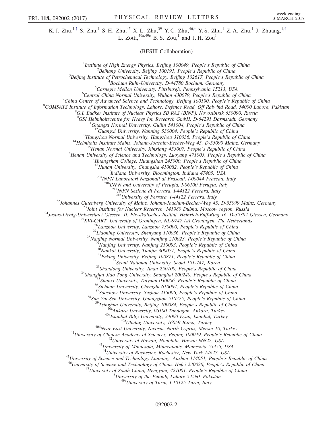K. J. Zhu,<sup>1,[†](#page-6-1)</sup> S. Zhu,<sup>1</sup> S. H. Zhu,<sup>45</sup> X. L. Zhu,<sup>39</sup> Y. C. Zhu,<sup>46,†</sup> Y. S. Zhu,<sup>1</sup> Z. A. Zhu,<sup>1</sup> J. Zhuang,<sup>1,†</sup> L. Zotti,  $49a,49c$  B. S. Zou,<sup>1</sup> and J. H. Zou<sup>1</sup>

(BESIII Collaboration)

<sup>1</sup>Institute of High Energy Physics, Beijing 100049, People's Republic of China  $\frac{2 \text{Poibang University}}{2}$  ${}^{2}$ Beihang University, Beijing 100191, People's Republic of China  ${}^{3}$ Beijing Institute of Petrochemical Technology, Beijing 102617, People's Republic of China  $^{4}$ Bochum Ruhr-University, D-44780 Bochum, Germany  ${}^{5}$ Carnegie Mellon University, Pittsburgh, Pennsylvania 15213, USA  ${}^{6}$ Central China Normal University, Wuhan 430079, People's Republic of China <sup>T</sup>China Center of Advanced Science and Technology, Beijing 100190, People's Republic of China <sup>8</sup>COMSATS Institute of Information Technology, Lahore, Defence Road, Off Raiwind Road, 54000 Lahore, Pakistan  $^{9}$ G.I. Budker Institute of Nuclear Physics SB RAS (BINP), Novosibirsk 630090, Russia<br><sup>10</sup>GSI Helmholtzcentre for Heavy Ion Research GmbH, D-64291 Darmstadt, Germany <sup>10</sup>GSI Helmholtzcentre for Heavy Ion Research GmbH, D-64291 Darmstadt, Germany<br><sup>11</sup>Guangxi Normal University, Guilin 541004, People's Republic of China<br><sup>12</sup>Guangxi University, Nanning 530004, People's Republic of China<br><sup></sup>  $^{20a}$ INFN Laboratori Nazionali di Frascati, I-00044 Frascati, Italy<br> $^{20b}$ INFN and University of Perugia, I-06100 Perugia, Italy  $^{21a}$ INFN Sezione di Ferrara, I-44122 Ferrara, Italy<br> $^{21b}$ University of Ferrara, I-44122 Ferrara, Italy <sup>218</sup>University of Ferrara, 144122 Ferrara, 1615<sup>22</sup><br>
<sup>218</sup>University of Nair, Johann-Bachim-Becker-Veg 45, D-55099 Mainz, Germany<br>
<sup>22</sup>Johnt Institute for Nuclear Research, 141980 Dubna, Moscow region, Russia<br>
<sup>24</sup>Justus <sup>43</sup>University of Minnesota, Minneapolis, Minnesota 55455, USA<br><sup>44</sup>University of Rochester, Rochester, New York 14627, USA<br><sup>45</sup>University of Science and Technology Liaoning, Anshan 114051, People's Republic of China<br><sup>46</sup>U 092002-2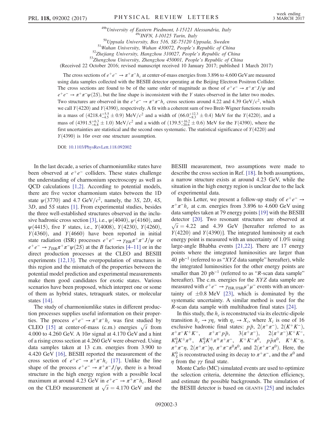<sup>49b</sup>University of Eastern Piedmont, I-15121 Alessandria, Italy<br><sup>49c</sup>INFN, I-10125 Turin, Italy<br><sup>50</sup>Uppsala University, Box 516, SE-75120 Uppsala, Sweden<br><sup>51</sup>Wuhan University, Wuhan 430072, People's Republic of China<br><sup>52</sup> (Received 22 October 2016; revised manuscript received 10 January 2017; published 1 March 2017)

The cross sections of  $e^+e^- \to \pi^+\pi^-h_c$  at center-of-mass energies from 3.896 to 4.600 GeV are measured using data samples collected with the BESIII detector operating at the Beijing Electron Positron Collider. The cross sections are found to be of the same order of magnitude as those of  $e^+e^- \rightarrow \pi^+\pi^- J/\psi$  and  $e^+e^- \rightarrow \pi^+\pi^-\psi(2S)$ , but the line shape is inconsistent with the Y states observed in the latter two modes. Two structures are observed in the  $e^+e^- \rightarrow \pi^+\pi^-h_c$  cross sections around 4.22 and 4.39 GeV/ $c^2$ , which we call  $Y(4220)$  and  $Y(4390)$ , respectively. A fit with a coherent sum of two Breit-Wigner functions results in a mass of  $(4218.4^{+5.5}_{-4.5} \pm 0.9)$  MeV/ $c^2$  and a width of  $(66.0^{+12.3}_{-8.3} \pm 0.4)$  MeV for the Y $(4220)$ , and a mass of  $(4391.5^{+6.3}_{-6.8} \pm 1.0)$  MeV/c<sup>2</sup> and a width of  $(139.5^{+16.2}_{-20.6} \pm 0.6)$  MeV for the Y $(4390)$ , where the first uncertainties are statistical and the second ones systematic. The statistical significance of  $Y(4220)$  and  $Y(4390)$  is  $10\sigma$  over one structure assumption.

DOI: [10.1103/PhysRevLett.118.092002](http://dx.doi.org/10.1103/PhysRevLett.118.092002)

In the last decade, a series of charmoniumlike states have been observed at  $e^+e^-$  colliders. These states challenge the understanding of charmonium spectroscopy as well as QCD calculations [\[1,2\]](#page-6-10). According to potential models, there are five vector charmonium states between the 1D state  $\psi$ (3770) and 4.7 GeV/ $c^2$ , namely, the 3S, 2D, 4S, 3D, and 5S states [\[1\]](#page-6-10). From experimental studies, besides the three well-established structures observed in the inclu-sive hadronic cross section [\[3\],](#page-6-11) i.e.,  $\psi$ (4040),  $\psi$ (4160), and  $\psi$ (4415), five Y states, i.e., Y(4008), Y(4230), Y(4260),  $Y(4360)$ , and  $Y(4660)$  have been reported in initial state radiation (ISR) processes  $e^+e^- \rightarrow \gamma_{\rm ISR}\pi^+\pi^-J/\psi$  or  $e^+e^- \rightarrow \gamma_{\rm ISR}\pi^+\pi^-\psi(2S)$  at the B factories [4–[11\]](#page-6-12) or in the direct production processes at the CLEO and BESIII experiments [\[12,13\]](#page-6-13). The overpopulation of structures in this region and the mismatch of the properties between the potential model prediction and experimental measurements make them good candidates for exotic states. Various scenarios have been proposed, which interpret one or some of them as hybrid states, tetraquark states, or molecular states [\[14\].](#page-6-14)

The study of charmoniumlike states in different production processes supplies useful information on their properties. The process  $e^+e^- \rightarrow \pi^+\pi^-h_c$  was first studied by CLEO [\[15\]](#page-6-15) at center-of-mass (c.m.) energies  $\sqrt{s}$  from 4.000 to 4.260 GeV. A  $10\sigma$  signal at 4.170 GeV and a hint of a rising cross section at 4.260 GeV were observed. Using data samples taken at 13 c.m. energies from 3.900 to 4.420 GeV [\[16\],](#page-6-16) BESIII reported the measurement of the cross section of  $e^+e^- \rightarrow \pi^+\pi^-h_c$  [\[17\]](#page-6-17). Unlike the line shape of the process  $e^+e^- \rightarrow \pi^+\pi^- J/\psi$ , there is a broad structure in the high energy region with a possible local maximum at around 4.23 GeV in  $e^+e^- \rightarrow \pi^+\pi^-h_c$ . Based on the CLEO measurement at  $\sqrt{s} = 4.170 \text{ GeV}$  and the BESIII measurement, two assumptions were made to describe the cross section in Ref. [\[18\]](#page-6-18). In both assumptions, a narrow structure exists at around 4.23 GeV, while the situation in the high energy region is unclear due to the lack of experimental data.

In this Letter, we present a follow-up study of  $e^+e^- \rightarrow$  $\pi^+\pi^-h_c$  at c.m. energies from 3.896 to 4.600 GeV using data samples taken at 79 energy points [\[19\]](#page-6-19) with the BESIII detector [\[20\]](#page-6-20). Two resonant structures are observed at  $\sqrt{s}$  = 4.22 and 4.39 GeV [hereafter referred to as  $Y(4220)$  and  $Y(4390)$ ]. The integrated luminosity at each energy point is measured with an uncertainty of 1.0% using large-angle Bhabha events [\[21,22\].](#page-6-21) There are 17 energy points where the integrated luminosities are larger than 40 pb<sup>-1</sup> (referred to as "XYZ data sample" hereafter), while the integrated luminosities for the other energy points are smaller than 20 pb<sup>-1</sup> (referred to as "R-scan data sample" hereafter). The c.m. energies for the XYZ data sample are measured with  $e^+e^- \rightarrow \gamma_{\text{ISR/FSR}}\mu^+\mu^-$  events with an uncertainty of  $\pm 0.8$  MeV [\[23\]](#page-6-22), which is dominated by the systematic uncertainty. A similar method is used for the R-scan data sample with multihadron final states [\[24\].](#page-6-23)

In this study, the  $h_c$  is reconstructed via its electric-dipole transition  $h_c \to \gamma \eta_c$  with  $\eta_c \to X_i$ , where  $X_i$  is one of 16 exclusive hadronic final states:  $p\bar{p}$ ,  $2(\pi^+\pi^-)$ ,  $2(K^+K^-)$ ,  $\pi^+\pi^-K^+K^-$ ,  $\pi^+\pi^-\bar{p}$ ,  $3(\pi^+\pi^-)$ ,  $2(\pi^+\pi^-)K^+K^-$ ,  $\pi^+\pi^-p\bar{p}$ ,  $3(\pi^+\pi^-)$ ,  $2(\pi^+\pi^-)K^+K^-$ ,  $K_S^0 K^{\pm} \pi^{\mp}$ ,  $K_S^0 K^{\pm} \pi^{\mp} \pi^+ \pi^-$ ,  $K^+ K^- \pi^0$ ,  $p \bar{p} \pi^0$ ,  $K^+ K^- \eta$ ,  $\pi^+ \pi^- \eta$ ,  $2(\pi^+ \pi^-) \eta$ ,  $\pi^+ \pi^- \pi^0 \pi^0$ , and  $2(\pi^+ \pi^- \pi^0)$ . Here, the  $K_S^0$  is reconstructed using its decay to  $\pi^+\pi^-$ , and the  $\pi^0$  and  $\eta$  from the  $\gamma\gamma$  final state.

Monte Carlo (MC) simulated events are used to optimize the selection criteria, determine the detection efficiency, and estimate the possible backgrounds. The simulation of the BESIII detector is based on GEANT4 [\[25\]](#page-6-24) and includes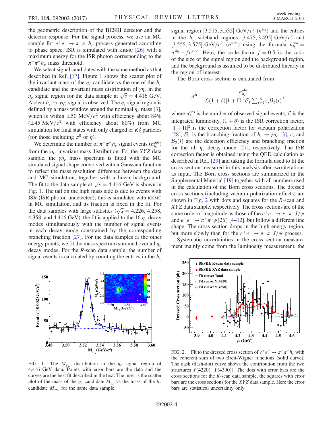the geometric description of the BESIII detector and the detector response. For the signal process, we use an MC sample for  $e^+e^- \rightarrow \pi^+\pi^-h_c$  process generated according to phase space. ISR is simulated with KKMC [\[26\]](#page-6-25) with a maximum energy for the ISR photon corresponding to the  $\pi^+\pi^-h_c$  mass threshold.

We select signal candidates with the same method as that described in Ref. [\[17\].](#page-6-17) Figure [1](#page-3-0) shows the scatter plot of the invariant mass of the  $\eta_c$  candidate vs the one of the  $h_c$ candidate and the invariant mass distribution of  $\gamma\eta_c$  in the  $\eta_c$  signal region for the data sample at  $\sqrt{s} = 4.416$  GeV. A clear  $h_c \rightarrow \gamma \eta_c$  signal is observed. The  $\eta_c$  signal region is defined by a mass window around the nominal  $\eta_c$  mass [\[3\]](#page-6-11), which is within  $\pm 50 \text{ MeV}/c^2$  with efficiency about 84%  $(\pm 45 \text{ MeV}/c^2 \text{ with efficiency about } 80\%)$  from MC simulation for final states with only charged or  $K_S^0$  particles (for those including  $\pi^0$  or  $\eta$ ).

We determine the number of  $\pi^+\pi^-h_c$  signal events ( $n_{h_c}^{\text{obs}}$ ) from the  $\gamma \eta_c$  invariant mass distribution. For the XYZ data sample, the  $\gamma \eta_c$  mass spectrum is fitted with the MC simulated signal shape convolved with a Gaussian function to reflect the mass resolution difference between the data and MC simulation, together with a linear background. The fit to the data sample at  $\sqrt{s} = 4.416$  GeV is shown in Fig. [1.](#page-3-0) The tail on the high mass side is due to events with ISR (ISR photon undetected); this is simulated with KKMC in MC simulation, and its fraction is fixed in the fit. For the data samples with large statistics ( $\sqrt{s}$  = 4.226, 4.258, 4.358, and 4.416 GeV), the fit is applied to the 16  $\eta_c$  decay modes simultaneously with the number of signal events in each decay mode constrained by the corresponding branching fraction [\[27\]](#page-6-26). For the data samples at the other energy points, we fit the mass spectrum summed over all  $\eta_c$ decay modes. For the R-scan data sample, the number of signal events is calculated by counting the entries in the  $h_c$ 

<span id="page-3-0"></span>

FIG. 1. The  $M_{\gamma\eta_c}$  distribution in the  $\eta_c$  signal region of 4.416 GeV data. Points with error bars are the data and the curves are the best fit described in the text. The inset is the scatter plot of the mass of the  $\eta_c$  candidate  $M_{\eta_c}$  vs the mass of the  $h_c$ candidate  $M_{\gamma\eta_c}$  for the same data sample.

signal region [3.515, 3.535] GeV/ $c^2$  ( $n^{sig}$ ) and the entries in the  $h_c$  sideband regions [3.475, 3.495] GeV/ $c^2$  and [3.555, 3.575] GeV/ $c^2$  (n<sup>side</sup>) using the formula  $n_{h_c}^{\text{obs}} =$  $n<sup>sig</sup> - fn<sup>side</sup>$ . Here, the scale factor  $f = 0.5$  is the ratio of the size of the signal region and the background region, and the background is assumed to be distributed linearly in the region of interest.

The Born cross section is calculated from

$$
\sigma^{B} = \frac{n_{h_c}^{\text{obs}}}{\mathcal{L}(1+\delta)|1+\Pi|^2 \mathcal{B}_1 \sum_{i=1}^{16} \epsilon_i \mathcal{B}_2(i)},
$$

where  $n_{h_c}^{\text{obs}}$  is the number of observed signal events,  $\mathcal{L}$  is the integrated luminosity,  $(1 + \delta)$  is the ISR correction factor,  $|1 + \Pi|^2$  is the correction factor for vacuum polarization [\[28\]](#page-6-27),  $\mathcal{B}_1$  is the branching fraction of  $h_c \rightarrow \gamma \eta_c$  [\[3\],](#page-6-11)  $\epsilon_i$  and  $B_2(i)$  are the detection efficiency and branching fraction for the *i*th  $\eta_c$  decay mode [\[27\]](#page-6-26), respectively. The ISR correction factor is obtained using the QED calculation as described in Ref. [\[29\]](#page-7-0) and taking the formula used to fit the cross section measured in this analysis after two iterations as input. The Born cross sections are summarized in the Supplemental Material [\[19\]](#page-6-19) together with all numbers used in the calculation of the Born cross sections. The dressed cross sections (including vacuum polarization effects) are shown in Fig. [2](#page-3-1) with dots and squares for the R-scan and XYZ data sample, respectively. The cross sections are of the same order of magnitude as those of the  $e^+e^- \rightarrow \pi^+\pi^-J/\psi$ and  $e^+e^- \rightarrow \pi^+\pi^-\psi(2S)$  [4–[12\]](#page-6-12), but follow a different line shape. The cross section drops in the high energy region, but more slowly than for the  $e^+e^- \rightarrow \pi^+\pi^- J/\psi$  process.

Systematic uncertainties in the cross section measurement mainly come from the luminosity measurement, the

<span id="page-3-1"></span>

FIG. 2. Fit to the dressed cross section of  $e^+e^- \rightarrow \pi^+\pi^-h_c$  with the coherent sum of two Breit-Wigner functions (solid curve). The dash (dash-dot) curve shows the contribution from the two structures  $Y(4220)$  [ $Y(4390)$ ]. The dots with error bars are the cross sections for the R-scan data sample, the squares with error bars are the cross sections for the XYZ data sample. Here the error bars are statistical uncertainty only.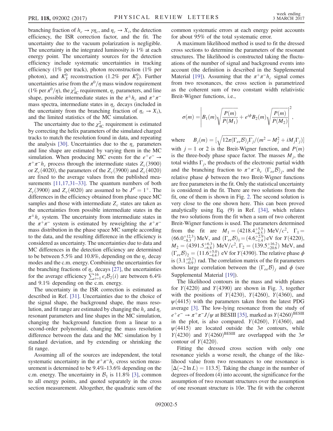branching fraction of  $h_c \to \gamma \eta_c$ , and  $\eta_c \to X_i$ , the detection efficiency, the ISR correction factor, and the fit. The uncertainty due to the vacuum polarization is negligible. The uncertainty in the integrated luminosity is 1% at each energy point. The uncertainty sources for the detection efficiency include systematic uncertainties in tracking efficiency (1% per track), photon reconstruction (1% per photon), and  $K_S^0$  reconstruction (1.2% per  $K_S^0$ ). Further uncertainties arise from the  $\pi^0/\eta$  mass window requirement (1% per  $\pi^0/\eta$ ), the  $\chi^2_{AC}$  requirement,  $\eta_c$  parameters, and line shape, possible intermediate states in the  $\pi^{\pm}h_c$  and  $\pi^{+}\pi^{-}$ mass spectra, intermediate states in  $\eta_c$  decays (included in the uncertainty from the branching fraction of  $\eta_c \rightarrow X_i$ ), and the limited statistics of the MC simulation.

The uncertainty due to the  $\chi^2_{AC}$  requirement is estimated by correcting the helix parameters of the simulated charged tracks to match the resolution found in data, and repeating the analysis [\[30\].](#page-7-1) Uncertainties due to the  $\eta_c$  parameters and line shape are estimated by varying them in the MC simulation. When producing MC events for the  $e^+e^- \rightarrow$  $\pi^+\pi^-h_c$  process through the intermediate states  $Z_c(3900)$ or  $Z_c(4020)$ , the parameters of the  $Z_c(3900)$  and  $Z_c(4020)$ are fixed to the average values from the published mea-surements [\[11,17,31](#page-6-28)–33]. The quantum numbers of both  $Z_c$ (3900) and  $Z_c$ (4020) are assumed to be  $J<sup>P</sup> = 1<sup>+</sup>$ . The differences in the efficiency obtained from phase space MC samples and those with intermediate  $Z_c$  states are taken as the uncertainties from possible intermediate states in the  $\pi^{\pm}h_c$  system. The uncertainty from intermediate states in the  $\pi^+\pi^-$  system is estimated by reweighting the  $\pi^+\pi^$ mass distribution in the phase space MC sample according to the data, and the resulting difference in the efficiency is considered as uncertainty. The uncertainties due to data and MC differences in the detection efficiency are determined to be between 5.5% and 10.8%, depending on the  $\eta_c$  decay modes and the c.m. energy. Combining the uncertainties for the branching fractions of  $\eta_c$  decays [\[27\]](#page-6-26), the uncertainties for the average efficiency  $\sum_{i=1}^{16} \epsilon_i \mathcal{B}_2(i)$  are between 6.4% and 9.1% depending on the c.m. energy.

The uncertainty in the ISR correction is estimated as described in Ref. [\[31\].](#page-7-2) Uncertainties due to the choice of the signal shape, the background shape, the mass resolution, and fit range are estimated by changing the  $h_c$  and  $\eta_c$ resonant parameters and line shapes in the MC simulation, changing the background function from a linear to a second-order polynomial, changing the mass resolution difference between the data and the MC simulation by 1 standard deviation, and by extending or shrinking the fit range.

Assuming all of the sources are independent, the total systematic uncertainty in the  $\pi^+\pi^-h_c$  cross section measurement is determined to be 9.4%-13.6% depending on the c.m. energy. The uncertainty in  $\mathcal{B}_1$  is 11.8% [\[3\],](#page-6-11) common to all energy points, and quoted separately in the cross section measurement. Altogether, the quadratic sum of the common systematic errors at each energy point accounts for about 95% of the total systematic error.

A maximum likelihood method is used to fit the dressed cross sections to determine the parameters of the resonant structures. The likelihood is constructed taking the fluctuations of the number of signal and background events into account (the definition is described in the Supplemental Material [\[19\]\)](#page-6-19). Assuming that the  $\pi^+\pi^-h_c$  signal comes from two resonances, the cross section is parametrized as the coherent sum of two constant width relativistic Breit-Wigner functions, i.e.,

$$
\sigma(m) = \left| B_1(m) \sqrt{\frac{P(m)}{P(M_1)}} + e^{i\phi} B_2(m) \sqrt{\frac{P(m)}{P(M_2)}} \right|^2,
$$

where  $B_j(m) = \left[\sqrt{\frac{12\pi(\Gamma_{ee}B)_j\Gamma_j}{(m^2 - M_j^2 + iM_j\Gamma_j)}}\right]$ with  $j = 1$  or 2 is the Breit-Wigner function, and  $P(m)$ is the three-body phase space factor. The masses  $M_i$ , the total widths  $\Gamma_i$ , the products of the electronic partial width and the branching fraction to  $\pi^+\pi^-h_c$   $(\Gamma_{ee}\mathcal{B})_i$ , and the relative phase  $\phi$  between the two Breit-Wigner functions are free parameters in the fit. Only the statistical uncertainty is considered in the fit. There are two solutions from the fit, one of them is shown in Fig. [2.](#page-3-1) The second solution is very close to the one shown here. This can been proved analytically using Eq. (9) in Ref. [\[34\],](#page-7-3) which relates the two solutions from the fit when a sum of two coherent Breit-Wigner functions is used. The parameters determined from the fit are  $M_1 = (4218.4^{+5.5}_{-4.5}) \text{ MeV}/c^2$ ,  $\Gamma_1 =$  $(66.0^{+12.3}_{-8.3})$  MeV, and  $(\Gamma_{ee}B)_1 = (4.6^{+2.9}_{-1.4})$  eV for  $Y(4220)$ ,  $M_2 = (4391.5^{+6.3}_{-6.8})$  MeV/c<sup>2</sup>,  $\Gamma_2 = (139.5^{+16.2}_{-20.6})$  MeV, and  $(\Gamma_{ee}B)_2 = (11.6_{-4.4}^{+5.0})$  eV for  $Y(4390)$ . The relative phase  $\phi$ is  $(3.1^{+0.7}_{-0.9})$  rad. The correlation matrix of the fit parameters shows large correlation between the  $(\Gamma_{ee}B)_i$  and  $\phi$  (see Supplemental Material [\[19\]\)](#page-6-19).

The likelihood contours in the mass and width planes for  $Y(4220)$  and  $Y(4390)$  are shown in Fig. [3,](#page-5-0) together with the positions of  $Y(4230)$ ,  $Y(4260)$ ,  $Y(4360)$ , and  $\psi$ (4415) with the parameters taken from the latest PDG average [\[3\].](#page-6-11) The low-lying resonance from the study of  $e^+e^- \rightarrow \pi^+\pi^-J/\psi$  at BESIII [\[35\],](#page-7-4) marked as  $Y(4260)^{\text{BESIII}}$ in the plot, is also compared.  $Y(4260)$ ,  $Y(4360)$ , and  $\psi$ (4415) are located outside the  $3\sigma$  contours, while  $Y(4230)$  and  $Y(4260)$ <sup>BESIII</sup> are overlapped with the  $3\sigma$ contour of  $Y(4220)$ .

Fitting the dressed cross section with only one resonance yields a worse result, the change of the likelihood value from two resonances to one resonance is  $[\Delta(-2 \ln L) = 113.5]$ . Taking the change in the number of degrees of freedom (4) into account, the significance for the assumption of two resonant structures over the assumption of one resonant structure is  $10\sigma$ . The fit with the coherent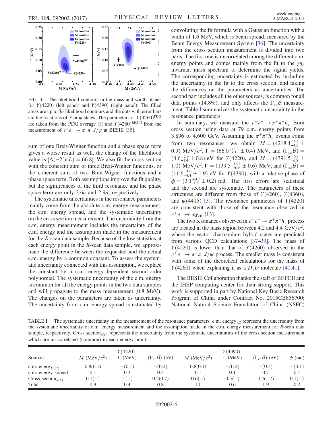<span id="page-5-0"></span>

FIG. 3. The likelihood contours in the mass and width planes for  $Y(4220)$  (left panel) and  $Y(4390)$  (right panel). The filled areas are up to  $3\sigma$  likelihood contours and the dots with error bars are the locations of Y or  $\psi$  states. The parameters of  $Y(4260)^{PDG}$ are taken from the PDG average [\[3\]](#page-6-11) and  $Y(4260)^{\text{BESIII}}$  from the measurement of  $e^+e^- \rightarrow \pi^+\pi^- J/\psi$  at BESIII [\[35\].](#page-7-4)

sum of one Breit-Wigner function and a phase space term gives a worse result as well, the change of the likelihood value is  $\Delta(-2 \ln L) = 66.8$ . We also fit the cross section with the coherent sum of three Breit-Wigner functions, or the coherent sum of two Breit-Wigner functions and a phase space term. Both assumptions improve the fit quality, but the significances of the third resonance and the phase space term are only 2.6 $\sigma$  and 2.9 $\sigma$ , respectively.

The systematic uncertainties in the resonance parameters mainly come from the absolute c.m. energy measurement, the c.m. energy spread, and the systematic uncertainty on the cross section measurement. The uncertainty from the c.m. energy measurement includes the uncertainty of the c.m. energy and the assumption made in the measurement for the R-scan data sample. Because of the low statistics at each energy point in the R-scan data sample, we approximate the difference between the requested and the actual c.m. energy by a common constant. To assess the systematic uncertainty connected with this assumption, we replace the constant by a c.m. energy-dependent second-order polynomial. The systematic uncertainty of the c.m. energy is common for all the energy points in the two data samples and will propagate to the mass measurement (0.8 MeV). The changes on the parameters are taken as uncertainty. The uncertainty from c.m. energy spread is estimated by convoluting the fit formula with a Gaussian function with a width of 1.6 MeV, which is beam spread, measured by the Beam Energy Measurement System [\[36\].](#page-7-5) The uncertainty from the cross section measurement is divided into two parts. The first one is uncorrelated among the different c.m. energy points and comes mainly from the fit to the  $\gamma$ invariant mass spectrum to determine the signal yields. The corresponding uncertainty is estimated by including the uncertainty in the fit to the cross section, and taking the differences on the parameters as uncertainties. The second part includes all the other sources, is common for all data points (14.8%), and only affects the  $\Gamma_{ee}B$  measurement. Table [I](#page-5-1) summarizes the systematic uncertainty in the resonance parameters.

In summary, we measure the  $e^+e^- \rightarrow \pi^+\pi^-h_c$  Born cross section using data at 79 c.m. energy points from 3.896 to 4.600 GeV. Assuming the  $\pi^+\pi^-h_c$  events come from two resonances, we obtain  $M = (4218.4^{+5.5}_{-4.5} \pm$ 0.9) MeV/ $c^2$ ,  $\Gamma = (66.0^{+12.3}_{-8.3} \pm 0.4)$  MeV, and  $(\Gamma_{ee} \mathcal{B}) =$  $(4.6^{+2.9}_{-1.4} \pm 0.8)$  eV for  $Y(4220)$ , and  $M = (4391.5^{+6.3}_{-6.8} \pm 0.8)$ 1.0) MeV/ $c^2$ ,  $\Gamma = (139.5^{+16.2}_{-20.6} \pm 0.6)$  MeV, and  $(\Gamma_{ee}B)$  $(11.6^{+5.0}_{-4.4} \pm 1.9)$  eV for  $Y(4390)$ , with a relative phase of  $\phi = (3.1^{+0.7}_{-0.9} \pm 0.2)$  rad. The first errors are statistical and the second are systematic. The parameters of these structures are different from those of  $Y(4260)$ ,  $Y(4360)$ , and  $\psi$ (4415) [\[3\]](#page-6-11). The resonance parameters of  $Y(4220)$ are consistent with those of the resonance observed in  $e^+e^- \rightarrow \omega \chi_{c0}$  [\[13\]](#page-6-29).

The two resonances observed in  $e^+e^- \rightarrow \pi^+\pi^-h_c$  process are located in the mass region between 4.2 and 4.4 GeV/ $c^2$ , where the vector charmonium hybrid states are predicted from various QCD calculations [37–[39\].](#page-7-6) The mass of  $Y(4220)$  is lower than that of  $Y(4260)$  observed in the  $e^+e^- \rightarrow \pi^+\pi^- J/\psi$  process. The smaller mass is consistent with some of the theoretical calculations for the mass of  $Y(4260)$  when explaining it as a  $D_1\bar{D}$  molecule [\[40,41\]](#page-7-7).

The BESIII Collaboration thanks the staff of BEPCII and the IHEP computing center for their strong support. This work is supported in part by National Key Basic Research Program of China under Contract No. 2015CB856700; National Natural Science Foundation of China (NSFC)

<span id="page-5-1"></span>TABLE I. The systematic uncertainty in the measurement of the resonance parameters. c.m. energy<sub>1:2</sub> represent the uncertainty from the systematic uncertainty of c.m. energy measurement and the assumption made in the c.m. energy measurement for R-scan data sample, respectively. Cross section<sub> $a(b)$ </sub> represents the uncertainty from the systematic uncertainties of the cross section measurement which are un-correlated (common) in each energy point.

| Sources                                    | M (MeV/ $c^2$ ) | Y(4220)<br>$\Gamma$ (MeV) | $(\Gamma_{ee}B)$ (eV) | M (MeV/ $c^2$ ) | Y(4390)<br>$\Gamma$ (MeV) | $(\Gamma_{ee}B)$ (eV) | $\phi$ (rad) |
|--------------------------------------------|-----------------|---------------------------|-----------------------|-----------------|---------------------------|-----------------------|--------------|
| c.m. energy $_{1(2)}$                      | 0.8(0.1)        | $-(0.1)$                  | $-(0.2)$              | 0.8(0.1)        | $-(0.2)$                  | $-(0.3)$              | $-(0.1)$     |
| c.m. energy spread                         | 0.1             | 0.3                       | 0.3                   | 0.1             | 0.1                       | 0.7                   | 0.1          |
| Cross section <sub><math>a(b)</math></sub> | $0.1(-)$        | $-(-)$                    | 0.2(0.7)              | $0.6(-)$        | $0.5(-)$                  | 0.4(1.7)              | $0.1(-)$     |
| Total                                      | 0.9             | 0.4                       | 0.8                   | 1.0             | 0.6                       | 1.9                   | 0.2          |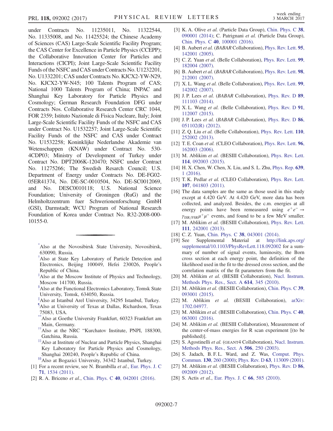under Contracts No. 11235011, No. 11322544, No. 11335008, and No. 11425524; the Chinese Academy of Sciences (CAS) Large-Scale Scientific Facility Program; the CAS Center for Excellence in Particle Physics (CCEPP); the Collaborative Innovation Center for Particles and Interactions (CICPI); Joint Large-Scale Scientific Facility Funds of the NSFC and CAS under Contracts No. U1232201, No. U1332201; CAS under Contracts No. KJCX2-YW-N29, No. KJCX2-YW-N45; 100 Talents Program of CAS; National 1000 Talents Program of China; INPAC and Shanghai Key Laboratory for Particle Physics and Cosmology; German Research Foundation DFG under Contracts Nos. Collaborative Research Center CRC 1044, FOR 2359; Istituto Nazionale di Fisica Nucleare, Italy; Joint Large-Scale Scientific Facility Funds of the NSFC and CAS under Contract No. U1532257; Joint Large-Scale Scientific Facility Funds of the NSFC and CAS under Contract No. U1532258; Koninklijke Nederlandse Akademie van Wetenschappen (KNAW) under Contract No. 530- 4CDP03; Ministry of Development of Turkey under Contract No. DPT2006K-120470; NSFC under Contract No. 11275266; The Swedish Resarch Council; U.S. Department of Energy under Contracts No. DE-FG02- 05ER41374, No. DE-SC-0010504, No. DE-SC0012069, and No. DESC0010118; U.S. National Science Foundation; University of Groningen (RuG) and the Helmholtzzentrum fuer Schwerionenforschung GmbH (GSI), Darmstadt; WCU Program of National Research Foundation of Korea under Contract No. R32-2008-000- 10155-0.

<span id="page-6-1"></span><span id="page-6-0"></span>[\\*](#page-0-0) Also at the Novosibirsk State University, Novosibirsk, 630090, Russia.

- [†](#page-0-1) Also at State Key Laboratory of Particle Detection and Electronics, Beijing 100049, Hefei 230026, People's Republic of China.
- <span id="page-6-3"></span><span id="page-6-2"></span>[‡](#page-0-2) Also at the Moscow Institute of Physics and Technology, Moscow 141700, Russia.
- <span id="page-6-4"></span>[§](#page-0-3) Also at the Functional Electronics Laboratory, Tomsk State University, Tomsk, 634050, Russia.
- <span id="page-6-5"></span>[∥](#page-0-4) Also at Istanbul Arel University, 34295 Istanbul, Turkey.
- <span id="page-6-6"></span>[¶](#page-0-5) Also at University of Texas at Dallas, Richardson, Texas 75083, USA.
- <span id="page-6-7"></span>Also at Goethe University Frankfurt, 60323 Frankfurt am Main, Germany.
- <span id="page-6-8"></span>[††](#page-0-7)Also at the NRC "Kurchatov Institute, PNPI, 188300, Gatchina, Russia.
- [‡‡](#page-0-8)Also at Institute of Nuclear and Particle Physics, Shanghai Key Laboratory for Particle Physics and Cosmology, Shanghai 200240, People's Republic of China.

<span id="page-6-10"></span><span id="page-6-9"></span>[§§](#page-0-9)Also at Bogazici University, 34342 Istanbul, Turkey.

- [1] For a recent review, see N. Brambilla et al., [Eur. Phys. J. C](http://dx.doi.org/10.1140/epjc/s10052-010-1534-9) 71[, 1534 \(2011\)](http://dx.doi.org/10.1140/epjc/s10052-010-1534-9).
- [2] R. A. Briceno et al., Chin. Phys. C 40[, 042001 \(2016\).](http://dx.doi.org/10.1088/1674-1137/40/4/042001)
- <span id="page-6-11"></span>[3] K. A. Olive et al. (Particle Data Group), [Chin. Phys. C](http://dx.doi.org/10.1088/1674-1137/38/9/090001) 38, [090001 \(2014\);](http://dx.doi.org/10.1088/1674-1137/38/9/090001) C. Patrignani et al. (Particle Data Group), Chin. Phys. C 40[, 100001 \(2016\).](http://dx.doi.org/10.1088/1674-1137/40/10/100001)
- <span id="page-6-12"></span>[4] B. Aubert et al. (BABAR Collaboration), [Phys. Rev. Lett.](http://dx.doi.org/10.1103/PhysRevLett.95.142001) 95, [142001 \(2005\).](http://dx.doi.org/10.1103/PhysRevLett.95.142001)
- [5] C. Z. Yuan et al. (Belle Collaboration), [Phys. Rev. Lett.](http://dx.doi.org/10.1103/PhysRevLett.99.182004) 99, [182004 \(2007\).](http://dx.doi.org/10.1103/PhysRevLett.99.182004)
- [6] B. Aubert et al. (BABAR Collaboration), [Phys. Rev. Lett.](http://dx.doi.org/10.1103/PhysRevLett.98.212001) 98, [212001 \(2007\).](http://dx.doi.org/10.1103/PhysRevLett.98.212001)
- [7] X. L. Wang et al. (Belle Collaboration), [Phys. Rev. Lett.](http://dx.doi.org/10.1103/PhysRevLett.99.142002) 99, [142002 \(2007\).](http://dx.doi.org/10.1103/PhysRevLett.99.142002)
- [8] J.P. Lees et al. (BABAR Collaboration), [Phys. Rev. D](http://dx.doi.org/10.1103/PhysRevD.89.111103) 89, [111103 \(2014\).](http://dx.doi.org/10.1103/PhysRevD.89.111103)
- [9] X.L. Wang et al. (Belle Collaboration), [Phys. Rev. D](http://dx.doi.org/10.1103/PhysRevD.91.112007) 91, [112007 \(2015\).](http://dx.doi.org/10.1103/PhysRevD.91.112007)
- [10] J. P. Lees et al. (BABAR Collaboration), [Phys. Rev. D](http://dx.doi.org/10.1103/PhysRevD.86.051102) 86, [051102\(R\) \(2012\)](http://dx.doi.org/10.1103/PhysRevD.86.051102).
- <span id="page-6-28"></span>[11] Z. Q. Liu et al. (Belle Collaboration), [Phys. Rev. Lett.](http://dx.doi.org/10.1103/PhysRevLett.110.252002) 110, [252002 \(2013\).](http://dx.doi.org/10.1103/PhysRevLett.110.252002)
- <span id="page-6-13"></span>[12] T. E. Coan et al. (CLEO Collaboration), [Phys. Rev. Lett.](http://dx.doi.org/10.1103/PhysRevLett.96.162003) 96, [162003 \(2006\).](http://dx.doi.org/10.1103/PhysRevLett.96.162003)
- <span id="page-6-29"></span>[13] M. Ablikim et al. (BESIII Collaboration), [Phys. Rev. Lett.](http://dx.doi.org/10.1103/PhysRevLett.114.092003) 114[, 092003 \(2015\).](http://dx.doi.org/10.1103/PhysRevLett.114.092003)
- <span id="page-6-14"></span>[14] H. X. Chen, W. Chen, X. Liu, and S. L. Zhu, [Phys. Rep.](http://dx.doi.org/10.1016/j.physrep.2016.05.004) 639, [1 \(2016\).](http://dx.doi.org/10.1016/j.physrep.2016.05.004)
- <span id="page-6-15"></span>[15] T. K. Pedlar et al. (CLEO Collaboration), [Phys. Rev. Lett.](http://dx.doi.org/10.1103/PhysRevLett.107.041803) 107[, 041803 \(2011\).](http://dx.doi.org/10.1103/PhysRevLett.107.041803)
- <span id="page-6-16"></span>[16] The data samples are the same as those used in this study except at 4.420 GeV. At 4.420 GeV, more data has been collected, and analyzed. Besides, the c.m. energies at all energy points have been remeasured using  $e^+e^- \rightarrow$  $\gamma_{\rm ISR/FSR}\mu^+\mu^-$  events, and found to be a few MeV smaller.
- <span id="page-6-17"></span>[17] M. Ablikim et al. (BESIII Collaboration), [Phys. Rev. Lett.](http://dx.doi.org/10.1103/PhysRevLett.111.242001) 111[, 242001 \(2013\).](http://dx.doi.org/10.1103/PhysRevLett.111.242001)
- <span id="page-6-18"></span>[18] C. Z. Yuan, Chin. Phys. C 38[, 043001 \(2014\)](http://dx.doi.org/10.1088/1674-1137/38/4/043001).
- <span id="page-6-19"></span>[19] See Supplemental Material at [http://link.aps.org/](http://link.aps.org/supplemental/10.1103/PhysRevLett.118.092002) [supplemental/10.1103/PhysRevLett.118.092002](http://link.aps.org/supplemental/10.1103/PhysRevLett.118.092002) for a summary of number of signal events, luminosity, the Born cross section at each energy point, the definition of the likelihood used in the fit to the dressed cross section, and the correlation matrix of the fit parameters from the fit.
- <span id="page-6-20"></span>[20] M. Ablikim et al. (BESIII Collaboration), [Nucl. Instrum.](http://dx.doi.org/10.1016/j.nima.2009.12.050) [Methods Phys. Res., Sect. A](http://dx.doi.org/10.1016/j.nima.2009.12.050) 614, 345 (2010).
- <span id="page-6-21"></span>[21] M. Ablikim et al. (BESIII Collaboration), [Chin. Phys. C](http://dx.doi.org/10.1088/1674-1137/39/9/093001) 39, [093001 \(2015\).](http://dx.doi.org/10.1088/1674-1137/39/9/093001)
- [22] M. Ablikim et al. (BESIII Collaboration), [arXiv:](http://arXiv.org/abs/1702.04977) [1702.04977.](http://arXiv.org/abs/1702.04977)
- <span id="page-6-22"></span>[23] M. Ablikim et al. (BESIII Collaboration), [Chin. Phys. C](http://dx.doi.org/10.1088/1674-1137/40/6/063001) 40, [063001 \(2016\).](http://dx.doi.org/10.1088/1674-1137/40/6/063001)
- <span id="page-6-23"></span>[24] M. Ablikim et al. (BESIII Collaboration), Measurement of the center-of-mass energies for R scan experiment [(to be published)].
- <span id="page-6-24"></span>[25] S. Agostinelli et al. (GEANT4 Collaboration), [Nucl. Instrum.](http://dx.doi.org/10.1016/S0168-9002(03)01368-8) [Methods Phys. Res., Sect. A](http://dx.doi.org/10.1016/S0168-9002(03)01368-8) 506, 250 (2003).
- <span id="page-6-25"></span>[26] S. Jadach, B. F. L. Ward, and Z. Was, [Comput. Phys.](http://dx.doi.org/10.1016/S0010-4655(00)00048-5) Commun. 130[, 260 \(2000\);](http://dx.doi.org/10.1016/S0010-4655(00)00048-5) Phys. Rev. D 63[, 113009 \(2001\).](http://dx.doi.org/10.1016/S0010-4655(00)00048-5)
- <span id="page-6-26"></span>[27] M. Ablikim et al. (BESIII Collaboration), [Phys. Rev. D](http://dx.doi.org/10.1103/PhysRevD.86.092009) 86, [092009 \(2012\).](http://dx.doi.org/10.1103/PhysRevD.86.092009)
- <span id="page-6-27"></span>[28] S. Actis et al., [Eur. Phys. J. C](http://dx.doi.org/10.1140/epjc/s10052-010-1251-4) 66, 585 (2010).